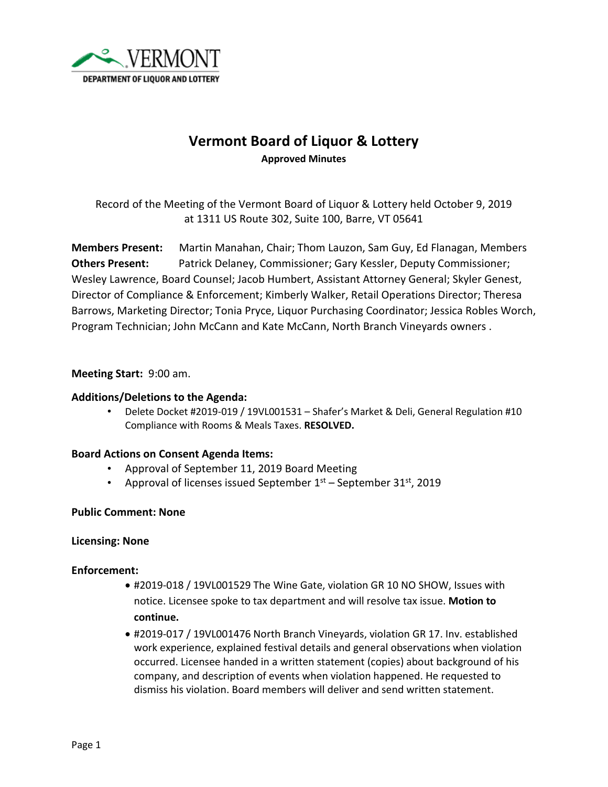

# **Vermont Board of Liquor & Lottery Approved Minutes**

Record of the Meeting of the Vermont Board of Liquor & Lottery held October 9, 2019 at 1311 US Route 302, Suite 100, Barre, VT 05641

**Members Present:** Martin Manahan, Chair; Thom Lauzon, Sam Guy, Ed Flanagan, Members **Others Present:** Patrick Delaney, Commissioner; Gary Kessler, Deputy Commissioner; Wesley Lawrence, Board Counsel; Jacob Humbert, Assistant Attorney General; Skyler Genest, Director of Compliance & Enforcement; Kimberly Walker, Retail Operations Director; Theresa Barrows, Marketing Director; Tonia Pryce, Liquor Purchasing Coordinator; Jessica Robles Worch, Program Technician; John McCann and Kate McCann, North Branch Vineyards owners .

## **Meeting Start:** 9:00 am.

#### **Additions/Deletions to the Agenda:**

• Delete Docket #2019-019 / 19VL001531 – Shafer's Market & Deli, General Regulation #10 Compliance with Rooms & Meals Taxes. **RESOLVED.**

#### **Board Actions on Consent Agenda Items:**

- Approval of September 11, 2019 Board Meeting
- Approval of licenses issued September  $1<sup>st</sup>$  September 31 $<sup>st</sup>$ , 2019</sup>

#### **Public Comment: None**

#### **Licensing: None**

#### **Enforcement:**

- #2019-018 / 19VL001529 The Wine Gate, violation GR 10 NO SHOW, Issues with notice. Licensee spoke to tax department and will resolve tax issue. **Motion to continue.**
- #2019-017 / 19VL001476 North Branch Vineyards, violation GR 17. Inv. established work experience, explained festival details and general observations when violation occurred. Licensee handed in a written statement (copies) about background of his company, and description of events when violation happened. He requested to dismiss his violation. Board members will deliver and send written statement.